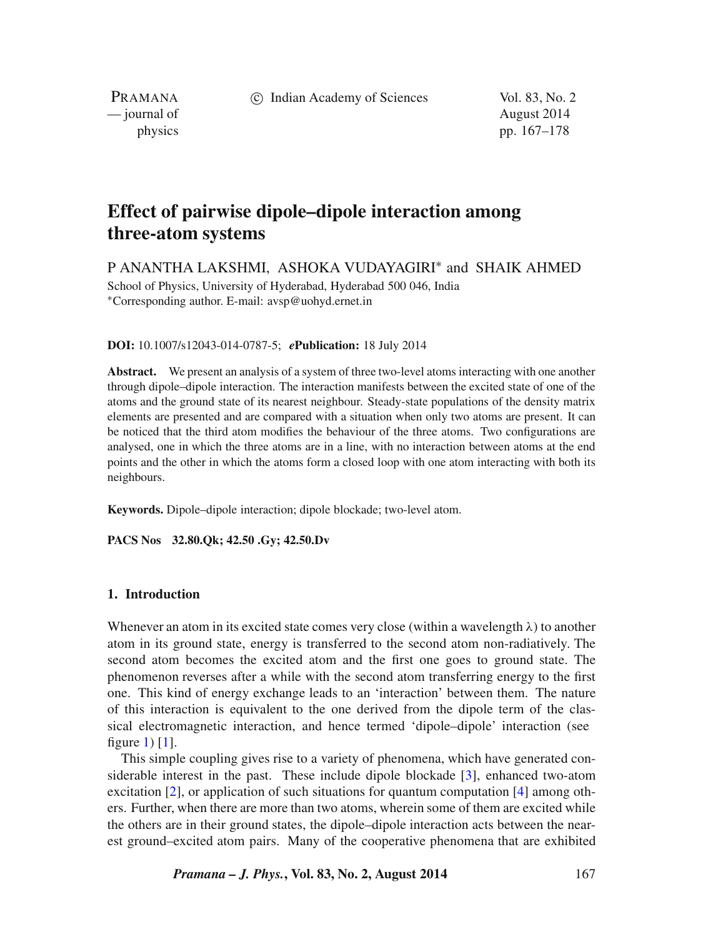c Indian Academy of Sciences Vol. 83, No. 2

PRAMANA<br>
— journal of

August 2014 physics pp. 167–178

# **Effect of pairwise dipole–dipole interaction among three-atom systems**

P ANANTHA LAKSHMI, ASHOKA VUDAYAGIRI∗ and SHAIK AHMED School of Physics, University of Hyderabad, Hyderabad 500 046, India ∗Corresponding author. E-mail: avsp@uohyd.ernet.in

#### **DOI:** 10.1007/s12043-014-0787-5; *e***Publication:** 18 July 2014

**Abstract.** We present an analysis of a system of three two-level atoms interacting with one another through dipole–dipole interaction. The interaction manifests between the excited state of one of the atoms and the ground state of its nearest neighbour. Steady-state populations of the density matrix elements are presented and are compared with a situation when only two atoms are present. It can be noticed that the third atom modifies the behaviour of the three atoms. Two configurations are analysed, one in which the three atoms are in a line, with no interaction between atoms at the end points and the other in which the atoms form a closed loop with one atom interacting with both its neighbours.

**Keywords.** Dipole–dipole interaction; dipole blockade; two-level atom.

**PACS Nos 32.80.Qk; 42.50 .Gy; 42.50.Dv**

## **1. Introduction**

Whenever an atom in its excited state comes very close (within a wavelength  $\lambda$ ) to another atom in its ground state, energy is transferred to the second atom non-radiatively. The second atom becomes the excited atom and the first one goes to ground state. The phenomenon reverses after a while with the second atom transferring energy to the first one. This kind of energy exchange leads to an 'interaction' between them. The nature of this interaction is equivalent to the one derived from the dipole term of the classical electromagnetic interaction, and hence termed 'dipole–dipole' interaction (see figure [1\)](#page-1-0)  $[1]$ .

This simple coupling gives rise to a variety of phenomena, which have generated considerable interest in the past. These include dipole blockade [\[3\]](#page-11-1), enhanced two-atom excitation [\[2\]](#page-11-2), or application of such situations for quantum computation [\[4\]](#page-11-3) among others. Further, when there are more than two atoms, wherein some of them are excited while the others are in their ground states, the dipole–dipole interaction acts between the nearest ground–excited atom pairs. Many of the cooperative phenomena that are exhibited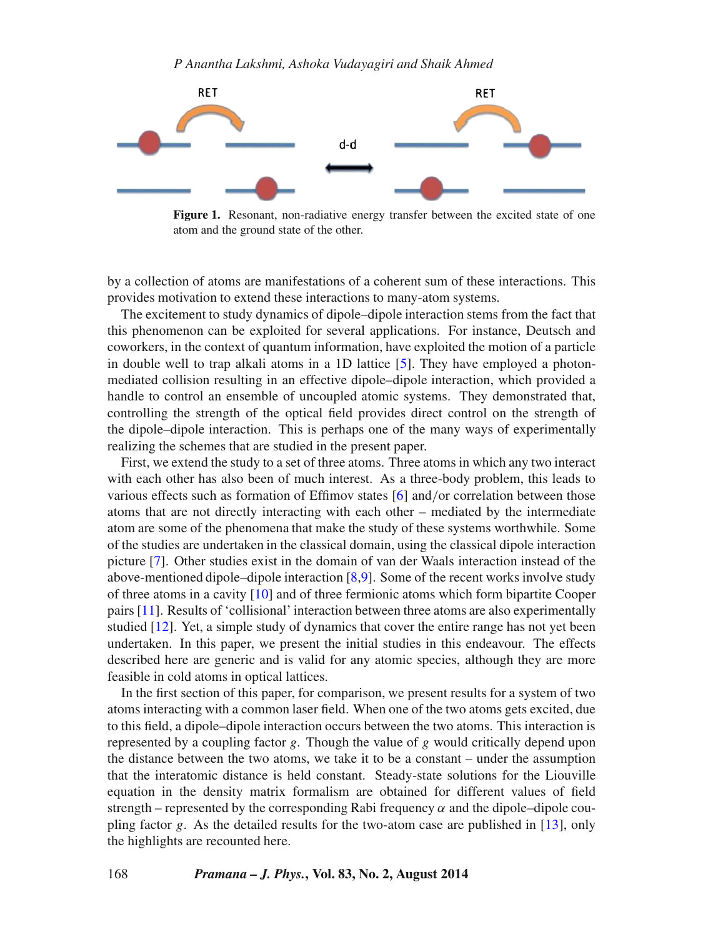<span id="page-1-0"></span>

**Figure 1.** Resonant, non-radiative energy transfer between the excited state of one atom and the ground state of the other.

by a collection of atoms are manifestations of a coherent sum of these interactions. This provides motivation to extend these interactions to many-atom systems.

The excitement to study dynamics of dipole–dipole interaction stems from the fact that this phenomenon can be exploited for several applications. For instance, Deutsch and coworkers, in the context of quantum information, have exploited the motion of a particle in double well to trap alkali atoms in a 1D lattice [\[5\]](#page-11-4). They have employed a photonmediated collision resulting in an effective dipole–dipole interaction, which provided a handle to control an ensemble of uncoupled atomic systems. They demonstrated that, controlling the strength of the optical field provides direct control on the strength of the dipole–dipole interaction. This is perhaps one of the many ways of experimentally realizing the schemes that are studied in the present paper.

First, we extend the study to a set of three atoms. Three atoms in which any two interact with each other has also been of much interest. As a three-body problem, this leads to various effects such as formation of Effimov states [\[6\]](#page-11-5) and/or correlation between those atoms that are not directly interacting with each other – mediated by the intermediate atom are some of the phenomena that make the study of these systems worthwhile. Some of the studies are undertaken in the classical domain, using the classical dipole interaction picture [\[7\]](#page-11-6). Other studies exist in the domain of van der Waals interaction instead of the above-mentioned dipole–dipole interaction [\[8,](#page-11-7)[9\]](#page-11-8). Some of the recent works involve study of three atoms in a cavity [\[10\]](#page-11-9) and of three fermionic atoms which form bipartite Cooper pairs [\[11\]](#page-11-10). Results of 'collisional' interaction between three atoms are also experimentally studied [\[12\]](#page-11-11). Yet, a simple study of dynamics that cover the entire range has not yet been undertaken. In this paper, we present the initial studies in this endeavour. The effects described here are generic and is valid for any atomic species, although they are more feasible in cold atoms in optical lattices.

In the first section of this paper, for comparison, we present results for a system of two atoms interacting with a common laser field. When one of the two atoms gets excited, due to this field, a dipole–dipole interaction occurs between the two atoms. This interaction is represented by a coupling factor *<sup>g</sup>*. Though the value of g would critically depend upon the distance between the two atoms, we take it to be a constant – under the assumption that the interatomic distance is held constant. Steady-state solutions for the Liouville equation in the density matrix formalism are obtained for different values of field strength – represented by the corresponding Rabi frequency  $\alpha$  and the dipole–dipole coupling factor g. As the detailed results for the two-atom case are published in  $[13]$ , only the highlights are recounted here.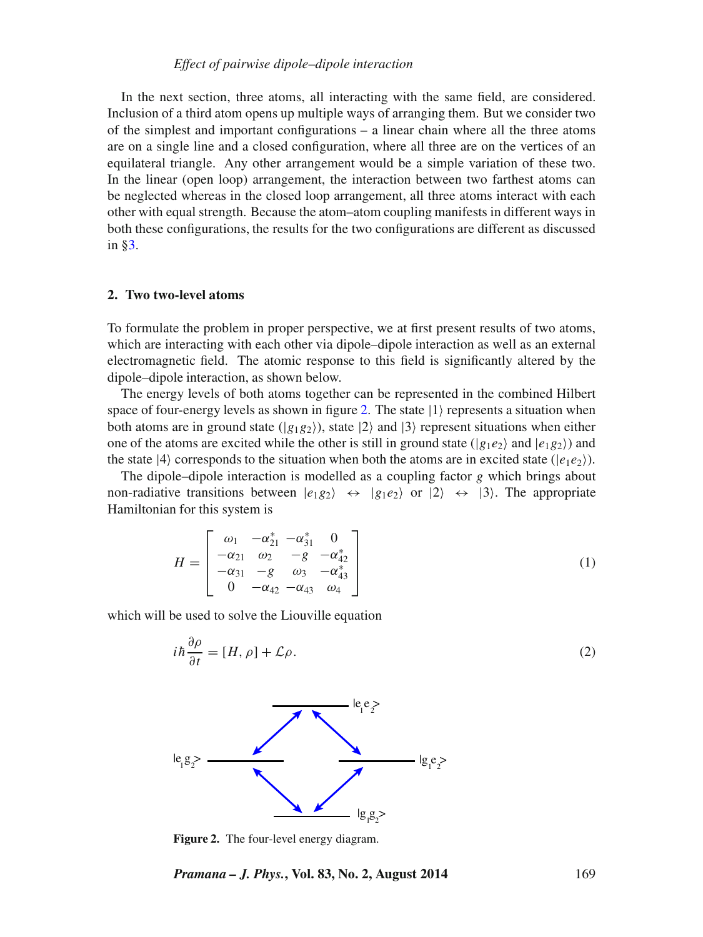## *Effect of pairwise dipole–dipole interaction*

In the next section, three atoms, all interacting with the same field, are considered. Inclusion of a third atom opens up multiple ways of arranging them. But we consider two of the simplest and important configurations – a linear chain where all the three atoms are on a single line and a closed configuration, where all three are on the vertices of an equilateral triangle. Any other arrangement would be a simple variation of these two. In the linear (open loop) arrangement, the interaction between two farthest atoms can be neglected whereas in the closed loop arrangement, all three atoms interact with each other with equal strength. Because the atom–atom coupling manifests in different ways in both these configurations, the results for the two configurations are different as discussed in [§3.](#page-4-0)

## **2. Two two-level atoms**

To formulate the problem in proper perspective, we at first present results of two atoms, which are interacting with each other via dipole–dipole interaction as well as an external electromagnetic field. The atomic response to this field is significantly altered by the dipole–dipole interaction, as shown below.

The energy levels of both atoms together can be represented in the combined Hilbert space of four-energy levels as shown in figure [2.](#page-2-0) The state  $|1\rangle$  represents a situation when both atoms are in ground state ( $|g_1g_2\rangle$ ), state  $|2\rangle$  and  $|3\rangle$  represent situations when either one of the atoms are excited while the other is still in ground state ( $|g_1e_2\rangle$  and  $|e_1g_2\rangle$ ) and the state  $|4\rangle$  corresponds to the situation when both the atoms are in excited state  $(|e_1e_2\rangle)$ .

The dipole–dipole interaction is modelled as a coupling factor *g* which brings about non-radiative transitions between  $|e_1g_2\rangle \leftrightarrow |g_1e_2\rangle$  or  $|2\rangle \leftrightarrow |3\rangle$ . The appropriate Hamiltonian for this system is

$$
H = \begin{bmatrix} \omega_1 & -\alpha_{21}^* & -\alpha_{31}^* & 0 \\ -\alpha_{21} & \omega_2 & -g & -\alpha_{42}^* \\ -\alpha_{31} & -g & \omega_3 & -\alpha_{43}^* \\ 0 & -\alpha_{42} & -\alpha_{43} & \omega_4 \end{bmatrix}
$$
 (1)

which will be used to solve the Liouville equation

<span id="page-2-1"></span>
$$
i\hbar \frac{\partial \rho}{\partial t} = [H, \rho] + \mathcal{L}\rho. \tag{2}
$$

<span id="page-2-0"></span>

**Figure 2.** The four-level energy diagram.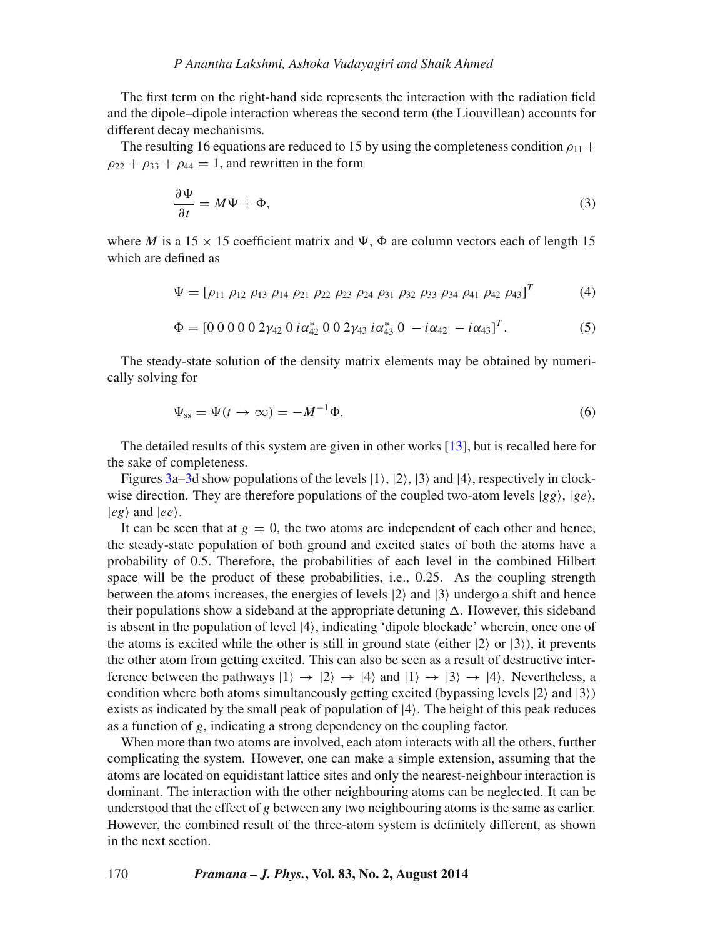The first term on the right-hand side represents the interaction with the radiation field and the dipole–dipole interaction whereas the second term (the Liouvillean) accounts for different decay mechanisms.

The resulting 16 equations are reduced to 15 by using the completeness condition  $\rho_{11}$  +  $\rho_{22} + \rho_{33} + \rho_{44} = 1$ , and rewritten in the form

$$
\frac{\partial \Psi}{\partial t} = M\Psi + \Phi,\tag{3}
$$

where M is a  $15 \times 15$  coefficient matrix and  $\Psi$ ,  $\Phi$  are column vectors each of length 15 which are defined as

$$
\Psi = [\rho_{11} \; \rho_{12} \; \rho_{13} \; \rho_{14} \; \rho_{21} \; \rho_{22} \; \rho_{23} \; \rho_{24} \; \rho_{31} \; \rho_{32} \; \rho_{33} \; \rho_{34} \; \rho_{41} \; \rho_{42} \; \rho_{43}]^T \tag{4}
$$

$$
\Phi = [0\ 0\ 0\ 0\ 0\ 2\gamma_{42}\ 0\ i\alpha_{42}^*\ 0\ 0\ 2\gamma_{43}\ i\alpha_{43}^*\ 0\ -i\alpha_{42}\ -i\alpha_{43}]^T. \tag{5}
$$

The steady-state solution of the density matrix elements may be obtained by numerically solving for

$$
\Psi_{\rm ss} = \Psi(t \to \infty) = -M^{-1}\Phi. \tag{6}
$$

The detailed results of this system are given in other works [\[13\]](#page-11-12), but is recalled here for the sake of completeness.

Figures [3a–3d](#page-4-1) show populations of the levels  $|1\rangle$ ,  $|2\rangle$ ,  $|3\rangle$  and  $|4\rangle$ , respectively in clockwise direction. They are therefore populations of the coupled two-atom levels  $|gg\rangle$ ,  $|ge\rangle$ ,  $|e\rho\rangle$  and  $|e\rho\rangle$ .

It can be seen that at  $g = 0$ , the two atoms are independent of each other and hence, the steady-state population of both ground and excited states of both the atoms have a probability of 0.5. Therefore, the probabilities of each level in the combined Hilbert space will be the product of these probabilities, i.e., 0.25. As the coupling strength between the atoms increases, the energies of levels  $|2\rangle$  and  $|3\rangle$  undergo a shift and hence their populations show a sideband at the appropriate detuning  $\Delta$ . However, this sideband<br>is absent in the population of level  $|4\rangle$  indicating 'dipole blockade' wherein once one of is absent in the population of level |4, indicating 'dipole blockade' wherein, once one of the atoms is excited while the other is still in ground state (either  $|2\rangle$  or  $|3\rangle$ ), it prevents the other atom from getting excited. This can also be seen as a result of destructive interference between the pathways  $|1\rangle \rightarrow |2\rangle \rightarrow |4\rangle$  and  $|1\rangle \rightarrow |3\rangle \rightarrow |4\rangle$ . Nevertheless, a condition where both atoms simultaneously getting excited (bypassing levels  $|2\rangle$  and  $|3\rangle$ ) exists as indicated by the small peak of population of  $|4\rangle$ . The height of this peak reduces as a function of g, indicating a strong dependency on the coupling factor.

When more than two atoms are involved, each atom interacts with all the others, further complicating the system. However, one can make a simple extension, assuming that the atoms are located on equidistant lattice sites and only the nearest-neighbour interaction is dominant. The interaction with the other neighbouring atoms can be neglected. It can be understood that the effect of *g* between any two neighbouring atoms is the same as earlier. However, the combined result of the three-atom system is definitely different, as shown in the next section.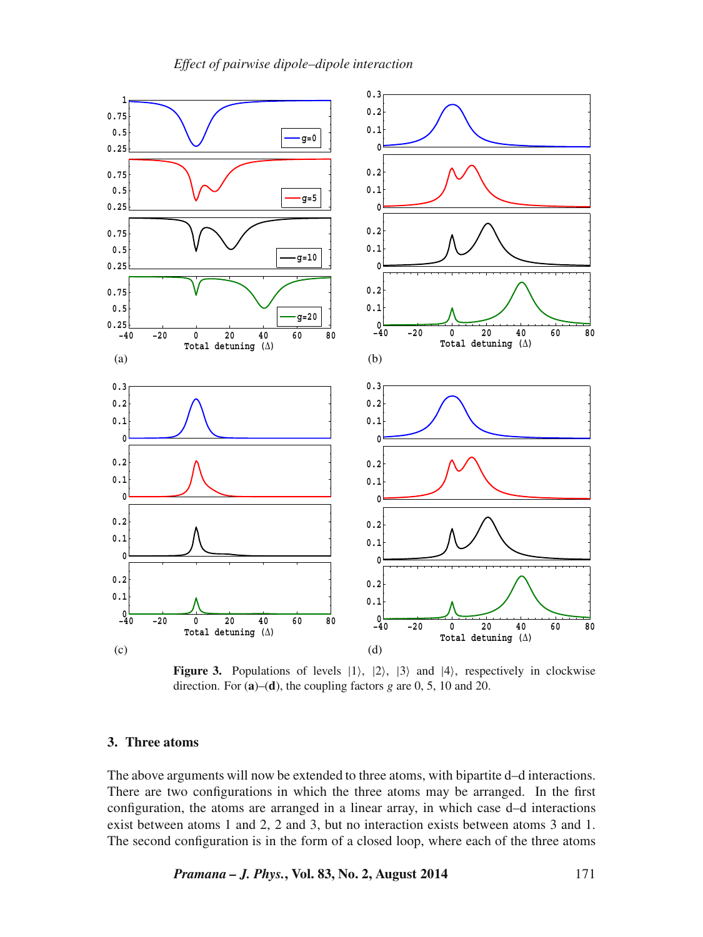<span id="page-4-1"></span>

**Figure 3.** Populations of levels  $|1\rangle$ ,  $|2\rangle$ ,  $|3\rangle$  and  $|4\rangle$ , respectively in clockwise direction. For (**a**)–(**d**), the coupling factors *g* are 0, 5, 10 and 20.

## <span id="page-4-0"></span>**3. Three atoms**

The above arguments will now be extended to three atoms, with bipartite d–d interactions. There are two configurations in which the three atoms may be arranged. In the first configuration, the atoms are arranged in a linear array, in which case d–d interactions exist between atoms 1 and 2, 2 and 3, but no interaction exists between atoms 3 and 1. The second configuration is in the form of a closed loop, where each of the three atoms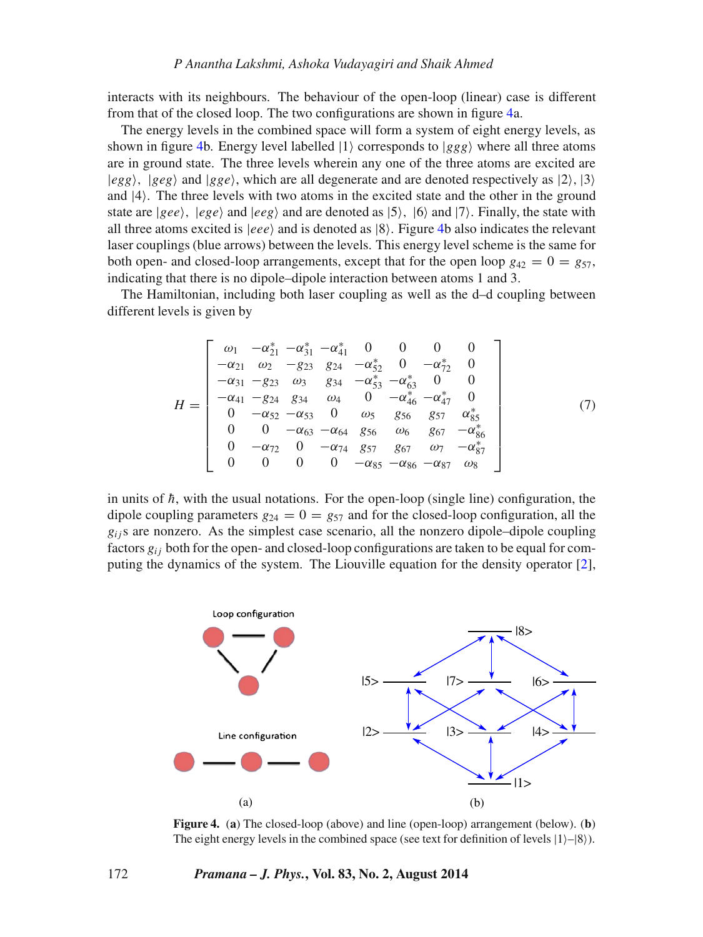interacts with its neighbours. The behaviour of the open-loop (linear) case is different from that of the closed loop. The two configurations are shown in figure [4a](#page-5-0).

The energy levels in the combined space will form a system of eight energy levels, as shown in figure [4b](#page-5-0). Energy level labelled  $|1\rangle$  corresponds to  $|ggg\rangle$  where all three atoms are in ground state. The three levels wherein any one of the three atoms are excited are  $|egg\rangle$ ,  $|geg\rangle$  and  $|gge\rangle$ , which are all degenerate and are denoted respectively as  $|2\rangle$ ,  $|3\rangle$ and |4. The three levels with two atoms in the excited state and the other in the ground state are  $|gee\rangle$ ,  $|ege\rangle$  and  $|eeg\rangle$  and are denoted as  $|5\rangle$ ,  $|6\rangle$  and  $|7\rangle$ . Finally, the state with all three atoms excited is  $|eee\rangle$  and is denoted as  $|8\rangle$ . Figure [4b](#page-5-0) also indicates the relevant laser couplings (blue arrows) between the levels. This energy level scheme is the same for both open- and closed-loop arrangements, except that for the open loop  $g_{42} = 0 = g_{57}$ , indicating that there is no dipole–dipole interaction between atoms 1 and 3.

The Hamiltonian, including both laser coupling as well as the d–d coupling between different levels is given by

$$
H = \begin{bmatrix} \omega_1 & -\alpha_{21}^* & -\alpha_{31}^* & -\alpha_{41}^* & 0 & 0 & 0 & 0 \\ -\alpha_{21} & \omega_2 & -g_{23} & g_{24} & -\alpha_{22}^* & 0 & -\alpha_{72}^* & 0 \\ -\alpha_{31} & -g_{23} & \omega_3 & g_{34} & -\alpha_{53}^* & -\alpha_{63}^* & 0 & 0 \\ -\alpha_{41} & -g_{24} & g_{34} & \omega_4 & 0 & -\alpha_{46}^* & -\alpha_{47}^* & 0 \\ 0 & -\alpha_{52} & -\alpha_{53} & 0 & \omega_5 & g_{56} & g_{57} & \alpha_{85}^* \\ 0 & 0 & -\alpha_{63} & -\alpha_{64} & g_{56} & \omega_6 & g_{67} & -\alpha_{86}^* \\ 0 & -\alpha_{72} & 0 & -\alpha_{74} & g_{57} & g_{67} & \omega_7 & -\alpha_{87}^* \\ 0 & 0 & 0 & 0 & -\alpha_{85} & -\alpha_{86} & -\alpha_{87} & \omega_8 \end{bmatrix} \tag{7}
$$

in units of  $\hbar$ , with the usual notations. For the open-loop (single line) configuration, the dipole coupling parameters  $g_{24} = 0 = g_{57}$  and for the closed-loop configuration, all the  $g_{ij}$ s are nonzero. As the simplest case scenario, all the nonzero dipole–dipole coupling factors  $g_{ij}$  both for the open- and closed-loop configurations are taken to be equal for computing the dynamics of the system. The Liouville equation for the density operator [\[2\]](#page-2-1),

<span id="page-5-0"></span>

**Figure 4.** (**a**) The closed-loop (above) and line (open-loop) arrangement (below). (**b**) The eight energy levels in the combined space (see text for definition of levels  $|1\rangle-|8\rangle$ ).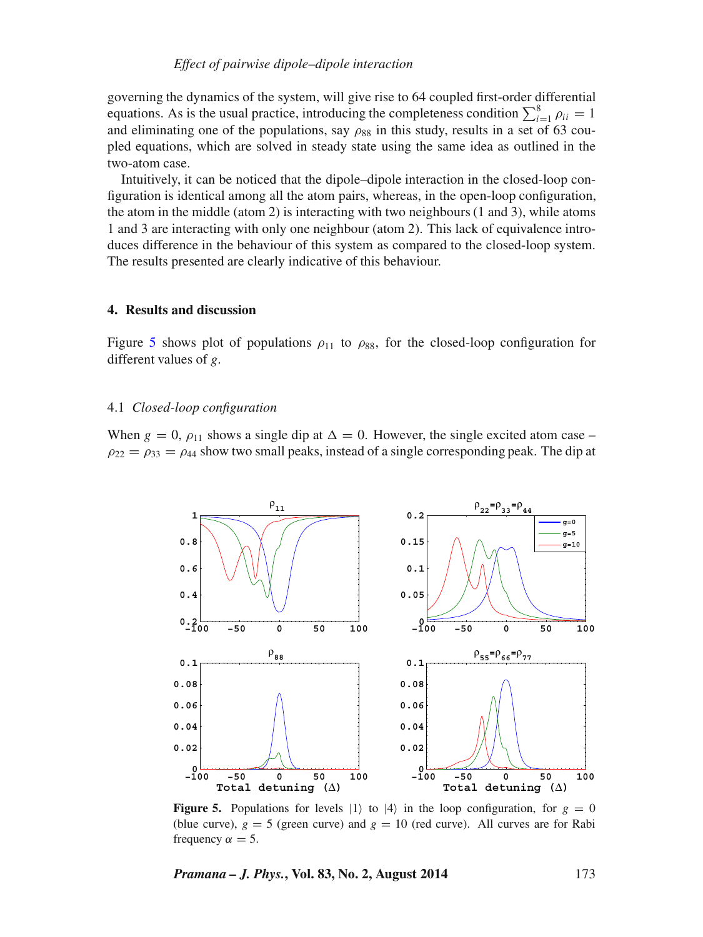governing the dynamics of the system, will give rise to 64 coupled first-order differential equations. As is the usual practice, introducing the completeness condition  $\sum_{i=1}^{8} \rho_{ii} = 1$  and eliminating one of the populations, say  $\rho_{00}$  in this study results in a set of 63 couand eliminating one of the populations, say  $\rho_{88}$  in this study, results in a set of 63 coupled equations, which are solved in steady state using the same idea as outlined in the two-atom case.

Intuitively, it can be noticed that the dipole–dipole interaction in the closed-loop configuration is identical among all the atom pairs, whereas, in the open-loop configuration, the atom in the middle (atom 2) is interacting with two neighbours (1 and 3), while atoms 1 and 3 are interacting with only one neighbour (atom 2). This lack of equivalence introduces difference in the behaviour of this system as compared to the closed-loop system. The results presented are clearly indicative of this behaviour.

## **4. Results and discussion**

Figure [5](#page-6-0) shows plot of populations  $\rho_{11}$  to  $\rho_{88}$ , for the closed-loop configuration for different values of *g*.

## 4.1 *Closed-loop configuration*

<span id="page-6-0"></span>When  $g = 0$ ,  $\rho_{11}$  shows a single dip at  $\Delta = 0$ . However, the single excited atom case –<br> $\rho_{22} = \rho_{13} = \rho_{14}$  show two small peaks instead of a single corresponding peak. The dip at  $\rho_{22} = \rho_{33} = \rho_{44}$  show two small peaks, instead of a single corresponding peak. The dip at



**Figure 5.** Populations for levels  $|1\rangle$  to  $|4\rangle$  in the loop configuration, for  $g = 0$ (blue curve),  $g = 5$  (green curve) and  $g = 10$  (red curve). All curves are for Rabi frequency  $\alpha = 5$ .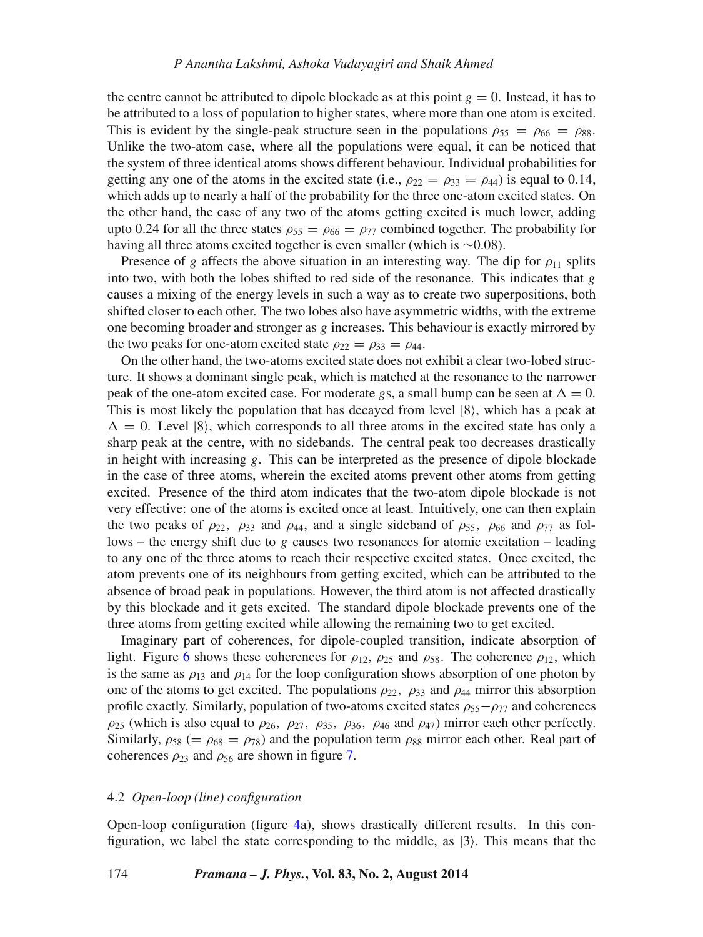the centre cannot be attributed to dipole blockade as at this point  $g = 0$ . Instead, it has to be attributed to a loss of population to higher states, where more than one atom is excited. This is evident by the single-peak structure seen in the populations  $\rho_{55} = \rho_{66} = \rho_{88}$ . Unlike the two-atom case, where all the populations were equal, it can be noticed that the system of three identical atoms shows different behaviour. Individual probabilities for getting any one of the atoms in the excited state (i.e.,  $\rho_{22} = \rho_{33} = \rho_{44}$ ) is equal to 0.14, which adds up to nearly a half of the probability for the three one-atom excited states. On the other hand, the case of any two of the atoms getting excited is much lower, adding upto 0.24 for all the three states  $\rho_{55} = \rho_{66} = \rho_{77}$  combined together. The probability for having all three atoms excited together is even smaller (which is ∼0.08).

Presence of g affects the above situation in an interesting way. The dip for  $\rho_{11}$  splits into two, with both the lobes shifted to red side of the resonance. This indicates that  $g$ causes a mixing of the energy levels in such a way as to create two superpositions, both shifted closer to each other. The two lobes also have asymmetric widths, with the extreme one becoming broader and stronger as  $g$  increases. This behaviour is exactly mirrored by the two peaks for one-atom excited state  $\rho_{22} = \rho_{33} = \rho_{44}$ .

On the other hand, the two-atoms excited state does not exhibit a clear two-lobed structure. It shows a dominant single peak, which is matched at the resonance to the narrower peak of the one-atom excited case. For moderate gs, a small bump can be seen at  $\Delta = 0$ .<br>This is most likely the population that has decayed from level  $|8\rangle$  which has a peak at This is most likely the population that has decayed from level  $|8\rangle$ , which has a peak at sharp peak at the centre, with no sidebands. The central peak too decreases drastically  $\Delta = 0$ . Level (8), which corresponds to all three atoms in the excited state has only a in height with increasing  $g$ . This can be interpreted as the presence of dipole blockade in the case of three atoms, wherein the excited atoms prevent other atoms from getting excited. Presence of the third atom indicates that the two-atom dipole blockade is not very effective: one of the atoms is excited once at least. Intuitively, one can then explain the two peaks of  $\rho_{22}$ ,  $\rho_{33}$  and  $\rho_{44}$ , and a single sideband of  $\rho_{55}$ ,  $\rho_{66}$  and  $\rho_{77}$  as follows – the energy shift due to g causes two resonances for atomic excitation – leading to any one of the three atoms to reach their respective excited states. Once excited, the atom prevents one of its neighbours from getting excited, which can be attributed to the absence of broad peak in populations. However, the third atom is not affected drastically by this blockade and it gets excited. The standard dipole blockade prevents one of the three atoms from getting excited while allowing the remaining two to get excited.

Imaginary part of coherences, for dipole-coupled transition, indicate absorption of light. Figure [6](#page-8-0) shows these coherences for  $\rho_{12}$ ,  $\rho_{25}$  and  $\rho_{58}$ . The coherence  $\rho_{12}$ , which is the same as  $\rho_{13}$  and  $\rho_{14}$  for the loop configuration shows absorption of one photon by one of the atoms to get excited. The populations  $\rho_{22}$ ,  $\rho_{33}$  and  $\rho_{44}$  mirror this absorption profile exactly. Similarly, population of two-atoms excited states  $\rho_{55}-\rho_{77}$  and coherences  $\rho_{25}$  (which is also equal to  $\rho_{26}$ ,  $\rho_{27}$ ,  $\rho_{35}$ ,  $\rho_{36}$ ,  $\rho_{46}$  and  $\rho_{47}$ ) mirror each other perfectly. Similarly,  $\rho_{58}$  (=  $\rho_{68}$  =  $\rho_{78}$ ) and the population term  $\rho_{88}$  mirror each other. Real part of coherences  $\rho_{23}$  and  $\rho_{56}$  are shown in figure [7.](#page-8-1)

## 4.2 *Open-loop (line) configuration*

Open-loop configuration (figure [4a](#page-5-0)), shows drastically different results. In this configuration, we label the state corresponding to the middle, as  $|3\rangle$ . This means that the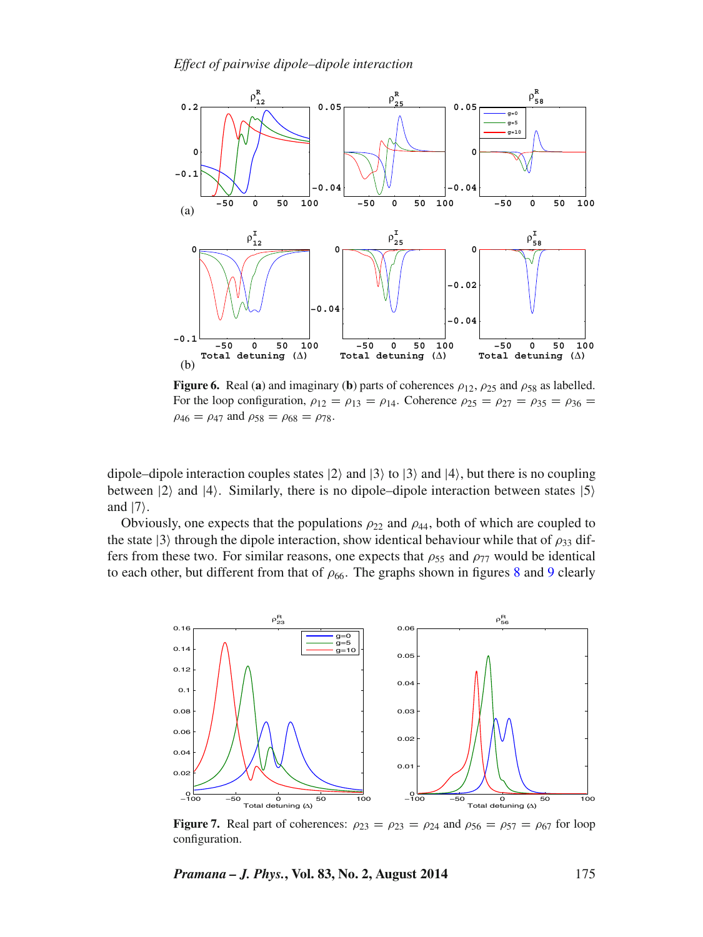*Effect of pairwise dipole–dipole interaction*

<span id="page-8-0"></span>

**Figure 6.** Real (a) and imaginary (b) parts of coherences  $\rho_{12}$ ,  $\rho_{25}$  and  $\rho_{58}$  as labelled. For the loop configuration,  $\rho_{12} = \rho_{13} = \rho_{14}$ . Coherence  $\rho_{25} = \rho_{27} = \rho_{35} = \rho_{36} =$  $\rho_{46} = \rho_{47}$  and  $\rho_{58} = \rho_{68} = \rho_{78}$ .

dipole–dipole interaction couples states  $|2\rangle$  and  $|3\rangle$  to  $|3\rangle$  and  $|4\rangle$ , but there is no coupling between  $|2\rangle$  and  $|4\rangle$ . Similarly, there is no dipole–dipole interaction between states  $|5\rangle$ and  $|7\rangle$ .

Obviously, one expects that the populations  $\rho_{22}$  and  $\rho_{44}$ , both of which are coupled to the state  $|3\rangle$  through the dipole interaction, show identical behaviour while that of  $\rho_{33}$  differs from these two. For similar reasons, one expects that  $\rho_{55}$  and  $\rho_{77}$  would be identical to each other, but different from that of  $\rho_{66}$ . The graphs shown in figures [8](#page-9-0) and [9](#page-9-1) clearly

<span id="page-8-1"></span>

**Figure 7.** Real part of coherences:  $\rho_{23} = \rho_{23} = \rho_{24}$  and  $\rho_{56} = \rho_{57} = \rho_{67}$  for loop configuration.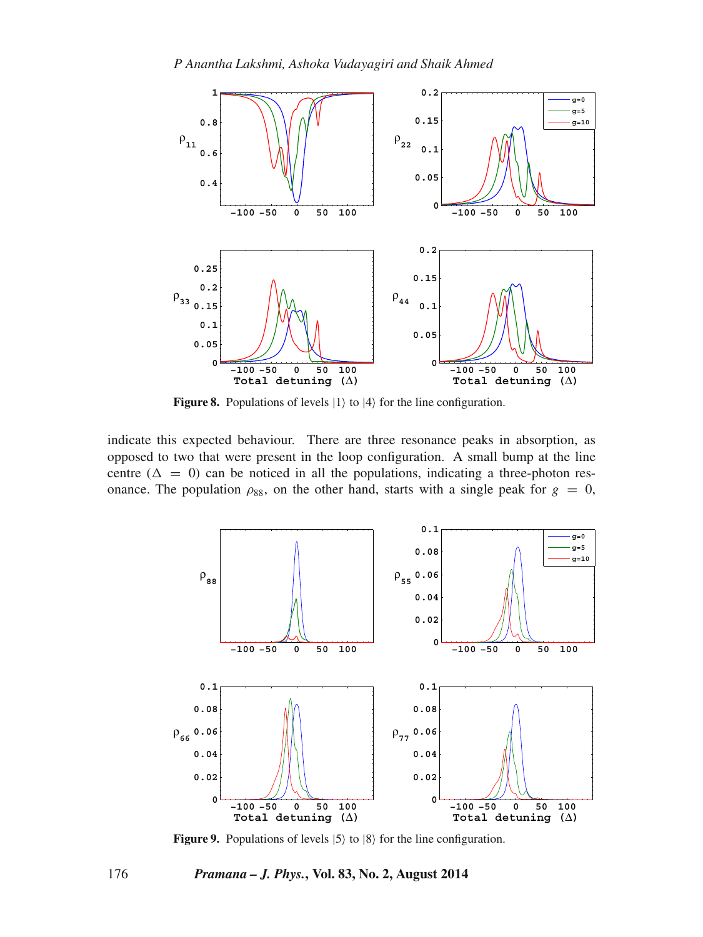<span id="page-9-0"></span>

**Figure 8.** Populations of levels  $|1\rangle$  to  $|4\rangle$  for the line configuration.

indicate this expected behaviour. There are three resonance peaks in absorption, as opposed to two that were present in the loop configuration. A small bump at the line centre ( $\Delta = 0$ ) can be noticed in all the populations, indicating a three-photon res-<br>ongance. The population  $\cos$  on the other hand, starts with a single peak for  $g = 0$ . onance. The population  $\rho_{88}$ , on the other hand, starts with a single peak for  $g = 0$ ,

<span id="page-9-1"></span>

**Figure 9.** Populations of levels  $|5\rangle$  to  $|8\rangle$  for the line configuration.

176 *Pramana – J. Phys.***, Vol. 83, No. 2, August 2014**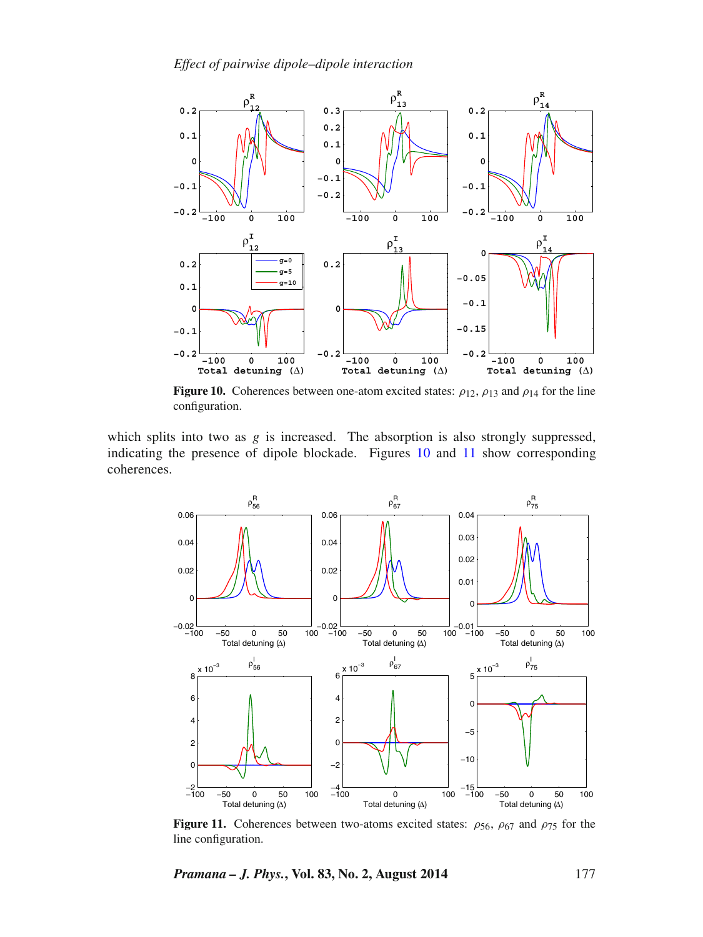<span id="page-10-0"></span>

**Figure 10.** Coherences between one-atom excited states:  $\rho_{12}$ ,  $\rho_{13}$  and  $\rho_{14}$  for the line configuration.

which splits into two as  $g$  is increased. The absorption is also strongly suppressed, indicating the presence of dipole blockade. Figures [10](#page-10-0) and [11](#page-10-1) show corresponding coherences.

<span id="page-10-1"></span>

**Figure 11.** Coherences between two-atoms excited states:  $\rho_{56}$ ,  $\rho_{67}$  and  $\rho_{75}$  for the line configuration.